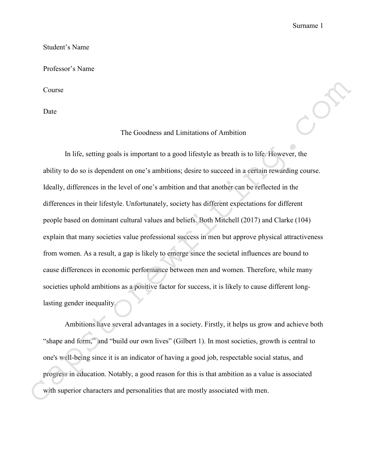#### Student's Name

#### Professor's Name

Course

Date

# The Goodness and Limitations of Ambition

In life, setting goals is important to a good lifestyle as breath is to life. However, the ability to do so is dependent on one's ambitions; desire to succeed in a certain rewarding course. Ideally, differences in the level of one's ambition and that another can be reflected in the differences in their lifestyle. Unfortunately, society has different expectations for different people based on dominant cultural values and beliefs. Both Mitchell (2017) and Clarke (104) explain that many societies value professional success in men but approve physical attractiveness from women. As a result, a gap is likely to emerge since the societal influences are bound to cause differences in economic performance between men and women. Therefore, while many societies uphold ambitions as a positive factor for success, it is likely to cause different longlasting gender inequality. Course<br>
The Goodness and Limitations of Ambition<br>
In life, setting goals is important to a good lifestyle as breath is to life. However, the<br>
ability to do so is dependent on one's ambitions; desire to succeed in a certai

Ambitions have several advantages in a society. Firstly, it helps us grow and achieve both "shape and form," and "build our own lives" (Gilbert 1). In most societies, growth is central to one's well-being since it is an indicator of having a good job, respectable social status, and progress in education. Notably, a good reason for this is that ambition as a value is associated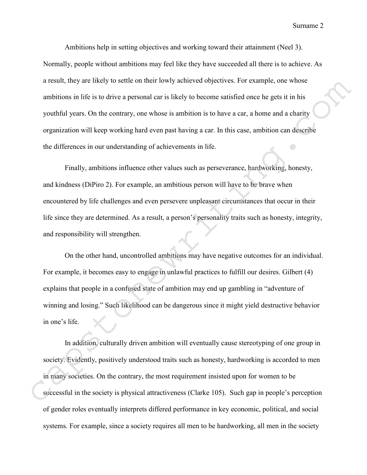Surname 2

Ambitions help in setting objectives and working toward their attainment (Neel 3). Normally, people without ambitions may feel like they have succeeded all there is to achieve. As a result, they are likely to settle on their lowly achieved objectives. For example, one whose ambitions in life is to drive a personal car is likely to become satisfied once he gets it in his youthful years. On the contrary, one whose is ambition is to have a car, a home and a charity organization will keep working hard even past having a car. In this case, ambition can describe the differences in our understanding of achievements in life.

Finally, ambitions influence other values such as perseverance, hardworking, honesty, and kindness (DiPiro 2). For example, an ambitious person will have to be brave when encountered by life challenges and even persevere unpleasant circumstances that occur in their life since they are determined. As a result, a person's personality traits such as honesty, integrity, and responsibility will strengthen.

On the other hand, uncontrolled ambitions may have negative outcomes for an individual. For example, it becomes easy to engage in unlawful practices to fulfill our desires. Gilbert (4) explains that people in a confused state of ambition may end up gambling in "adventure of winning and losing." Such likelihood can be dangerous since it might yield destructive behavior in one's life. a result, may are likely to settle on meir lowly achieved objectives. For example, one whose<br>ambitions in life is to drive a personal car is likely to become satisfied once he gets it in his<br>youthful years. On the contrary

In addition, culturally driven ambition will eventually cause stereotyping of one group in society. Evidently, positively understood traits such as honesty, hardworking is accorded to men in many societies. On the contrary, the most requirement insisted upon for women to be successful in the society is physical attractiveness (Clarke 105). Such gap in people's perception of gender roles eventually interprets differed performance in key economic, political, and social systems. For example, since a society requires all men to be hardworking, all men in the society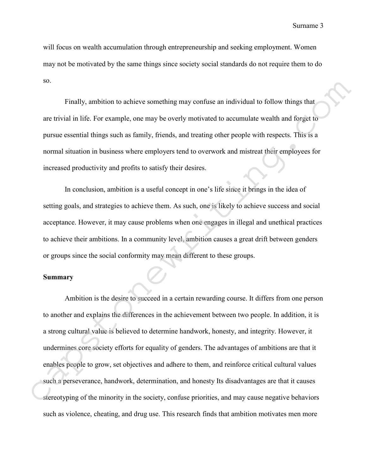will focus on wealth accumulation through entrepreneurship and seeking employment. Women may not be motivated by the same things since society social standards do not require them to do so.

Finally, ambition to achieve something may confuse an individual to follow things that are trivial in life. For example, one may be overly motivated to accumulate wealth and forget to pursue essential things such as family, friends, and treating other people with respects. This is a normal situation in business where employers tend to overwork and mistreat their employees for increased productivity and profits to satisfy their desires.

In conclusion, ambition is a useful concept in one's life since it brings in the idea of setting goals, and strategies to achieve them. As such, one is likely to achieve success and social acceptance. However, it may cause problems when one engages in illegal and unethical practices to achieve their ambitions. In a community level, ambition causes a great drift between genders or groups since the social conformity may mean different to these groups.

# **Summary**

Ambition is the desire to succeed in a certain rewarding course. It differs from one person to another and explains the differences in the achievement between two people. In addition, it is a strong cultural value is believed to determine handwork, honesty, and integrity. However, it undermines core society efforts for equality of genders. The advantages of ambitions are that it enables people to grow, set objectives and adhere to them, and reinforce critical cultural values such a perseverance, handwork, determination, and honesty Its disadvantages are that it causes so.<br>
Finally, ambition to achieve something may confuse an individual to follow things that<br>
are trivial in life. For example, one may be overly motivated to accumulate wealth and forget to<br>
pursue essential things such as such as violence, cheating, and drug use. This research finds that ambition motivates men more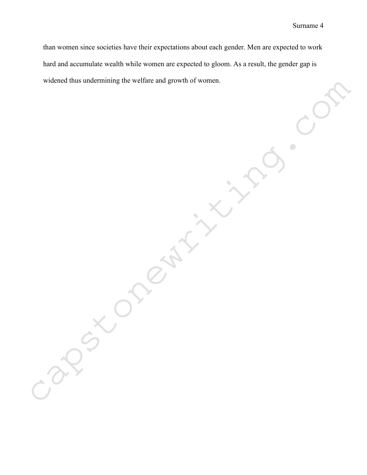than women since societies have their expectations about each gender. Men are expected to work hard and accumulate wealth while women are expected to gloom. As a result, the gender gap is widened thus undermining the welfare and growth of women.